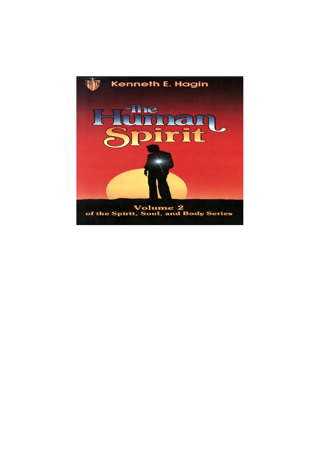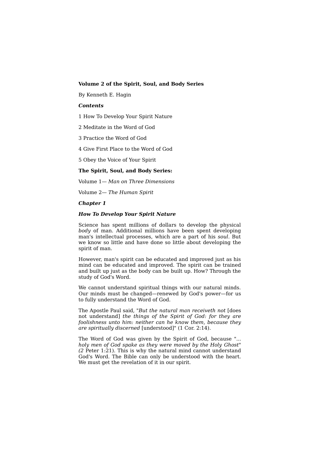## **Volume 2 of the Spirit, Soul, and Body Series**

By Kenneth E. Hagin

# *Contents*

- 1 How To Develop Your Spirit Nature
- 2 Meditate in the Word of God
- 3 Practice the Word of God
- 4 Give First Place to the Word of God
- 5 Obey the Voice of Your Spirit

# **The Spirit, Soul, and Body Series:**

Volume 1— *Man on Three Dimensions*

Volume 2— *The Human Spirit*

#### *Chapter 1*

## *How To Develop Your Spirit Nature*

Science has spent millions of dollars to develop the physical *body* of man. Additional millions have been spent developing man's intellectual processes, which are a part of his *soul.* But we know so little and have done so little about developing the spirit of man.

However, man's spirit can be educated and improved just as his mind can be educated and improved. The spirit can be trained and built up just as the body can be built up. How? Through the study of God's Word.

We cannot understand spiritual things with our natural minds. Our minds must be changed—renewed by God's power—for us to fully understand the Word of God.

The Apostle Paul said, *"But the natural man receiveth not* [does not understand] *the things of the Spirit of God: for they are foolishness unto him: neither can he know them, because they are spiritually discerned* [understood]" (1 Cor. 2:14).

The Word of God was given by the Spirit of God, because "... *holy men of God spake as they were moved by the Holy Ghost" (2* Peter 1:21). This is why the natural mind cannot understand God's Word. The Bible can only be understood with the heart. We must get the revelation of it in our spirit.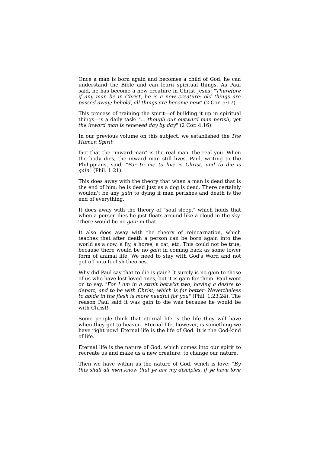Once a man is born again and becomes a child of God, he can understand the Bible and can learn spiritual things. As Paul said, he has become a new creature in Christ Jesus: *"Therefore if any man be in Christ, he is a new creature: old things are passed away; behold, all things are become new"* (2 Cor. 5:17).

This process of training the spirit—of building it up in spiritual things—is a daily task: "... *though our outward man perish, yet the inward man is renewed day by day"* (2 Cor. 4:16).

In our previous volume on this subject, we established the *The Human Spirit*

fact that the "inward man" is the real man, the real you. When the body dies, the inward man still lives. Paul, writing to the Philippians, said, *"For to me to live is Christ, and to die is gain"* (Phil. 1:21).

This does away with the theory that when a man is dead that is the end of him; he is dead just as a dog is dead. There certainly wouldn't be any *gain* to dying if man perishes and death is the end of everything.

It does away with the theory of "soul sleep," which holds that when a person dies he just floats around like a cloud in the sky. There would be no *gain* in that.

It also does away with the theory of reincarnation, which teaches that after death a person can be born again into the world as a cow, a fly, a horse, a cat, etc. This could not be true, because there would be no *gain* in coming back as some lower form of animal life. We need to stay with God's Word and not get off into foolish theories.

Why did Paul say that to die is gain? It surely is no gain to those of us who have lost loved ones, but it is gain for them. Paul went on to say, *"For I am in a strait betwixt two, having a desire to depart, and to be with Christ; which is far better: Nevertheless to abide in the flesh is more needful for you"* (Phil. 1:23,24). The reason Paul said it was gain to die was because he would be with Christ!

Some people think that eternal life is the life they will have when they get to heaven. Eternal life, however, is something we have right now! Eternal life is the life of God. It is the God-kind of life.

Eternal life is the nature of God, which comes into our spirit to recreate us and make us a new creature; to change our nature.

Then we have within us the nature of God, which is love: *"By this shall all men know that ye are my disciples, if ye have love*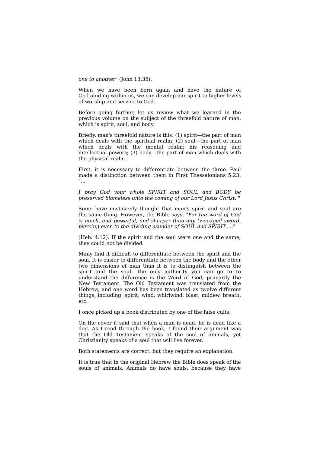*one to another"* (John 13:35).

When we have been born again and have the nature of God abiding within us, we can develop our spirit to higher levels of worship and service to God.

Before going further, let us review what we learned in the previous volume on the subject of the threefold nature of man, which is spirit, soul, and body.

Briefly, man's threefold nature is this: (1) spirit—the part of man which deals with the spiritual realm; (2) soul—the part of man which deals with the mental realm: his reasoning and intellectual powers; (3) body—the part of man which deals with the physical realm.

First, it is necessary to differentiate between the three. Paul made a distinction between them in First Thessalonians 5:23: "...

*I pray God your whole SPIRIT and SOUL and BODY be preserved blameless unto the coming of our Lord Jesus Christ.* "

Some have mistakenly thought that man's spirit and soul are the same thing. However, the Bible says, *"For the word of God is quick, and powerful, and sharper than any twoedged sword, piercing even to the dividing asunder of SOUL and SPIRIT..* .."

(Heb. 4:12). If the spirit and the soul were one and the same, they could not be divided.

Many find it difficult to differentiate between the spirit and the soul. It is easier to differentiate between the body and the other two dimensions of man than it is to distinguish between the spirit and the soul. The only authority you can go to to understand the difference is the Word of God; primarily the New Testament. The Old Testament was translated from the Hebrew, and one word has been translated as twelve different things, including: spirit, wind, whirlwind, blast, mildew, breath, etc.

I once picked up a book distributed by one of the false cults.

On the cover it said that when a man is dead, he is dead like a dog. As I read through the book, I found their argument was that the Old Testament speaks of the soul of animals, yet Christianity speaks of a soul that will live forever.

Both statements are correct, but they require an explanation.

It is true that in the original Hebrew the Bible does speak of the souls of animals. Animals do have souls, because they have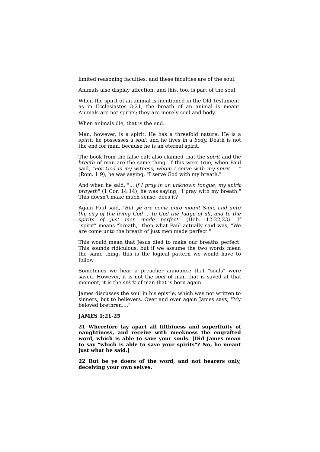limited reasoning faculties, and these faculties are of the soul.

Animals also display affection, and this, too, is part of the soul.

When the spirit of an animal is mentioned in the Old Testament, as in Ecclesiastes 3:21, the breath of an animal is meant. Animals are not spirits; they are merely soul and body.

When animals die, that is the end.

Man, however, is a spirit. He has a threefold nature: He is a *spirit;* he possesses a *soul;* and he lives in a *body.* Death is not the end for man, because he is an eternal spirit.

The book from the false cult also claimed that the *spirit* and the *breath* of man are the same thing. If this were true, when Paul said, *"For God is my witness, whom I serve with my spirit.* ..." (Rom. 1:9), he was saying, "I serve God with my breath."

And when he said, "... *if I pray in an unknown tongue, my spirit prayeth"* (1 Cor. 14:14), he was saying, "I pray with my breath." This doesn't make much sense, does it?

Again Paul said, *"But ye are come unto mount Sion, and unto the city of the living God ... to God the Judge of all, and to the spirits of just men made perfect"* (Heb. 12:22,23). If "spirit" means "breath," then what Paul actually said was, "We are come unto the breath of just men made perfect."

This would mean that Jesus died to make our breaths perfect! This sounds ridiculous, but if we assume the two words mean the same thing, this is the logical pattern we would have to follow.

Sometimes we hear a preacher announce that "souls" were saved. However, it is not the *soul* of man that is saved at that moment; it is the *spirit* of man that is born again.

James discusses the soul in his epistle, which was not written to sinners, but to believers. Over and over again James says, "My beloved brethren...."

### **JAMES 1:21-25**

**21 Wherefore lay apart all filthiness and superfluity of naughtiness, and receive with meekness the engrafted word, which is able to save your souls. [Did James mean to say "which is able to save your spirits"? No, he meant just what he said.]**

**22 But be ye doers of the word, and not hearers only, deceiving your own selves.**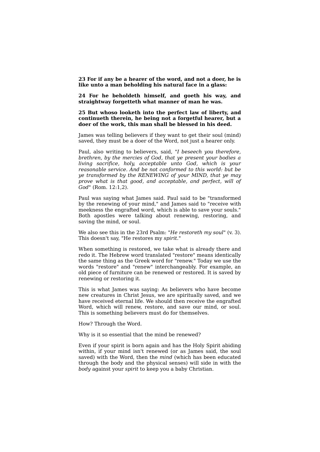**23 For if any be a hearer of the word, and not a doer, he is like unto a man beholding his natural face in a glass:**

**24 For he beholdeth himself, and goeth his way, and straightway forgetteth what manner of man he was.**

**25 But whoso looketh into the perfect law of liberty, and continueth therein, he being not a forgetful hearer, but a doer of the work, this man shall be blessed in his deed.**

James was telling believers if they want to get their soul (mind) saved, they must be a doer of the Word, not just a hearer only.

Paul, also writing to believers, said, *"I beseech you therefore, brethren, by the mercies of God, that ye present your bodies a living sacrifice, holy, acceptable unto God, which is your reasonable service. And be not conformed to this world: but be ye transformed by the RENEWING of your MIND, that ye may prove what is that good, and acceptable, and perfect, will of God"* (Rom. 12:1,2).

Paul was saying what James said. Paul said to be "transformed by the renewing of your mind," and James said to "receive with meekness the engrafted word, which is able to save your souls." Both apostles were talking about renewing, restoring, and saving the mind, or soul.

We also see this in the 23rd Psalm: *"He restoreth my soul"* (v. 3). This doesn't say, "He restores my *spirit."*

When something is restored, we take what is already there and redo it. The Hebrew word translated "restore" means identically the same thing as the Greek word for "renew." Today we use the words "restore" and "renew" interchangeably. For example, an old piece of furniture can be renewed or restored. It is saved by renewing or restoring it.

This is what James was saying: As believers who have become new creatures in Christ Jesus, we are spiritually saved, and we have received eternal life. We should then receive the engrafted Word, which will renew, restore, and save our mind, or soul. This is something believers must do for themselves.

How? Through the Word.

Why is it so essential that the mind be renewed?

Even if your spirit is born again and has the Holy Spirit abiding within, if your mind isn't renewed (or as James said, the soul saved) with the Word, then the *mind* (which has been educated through the body and the physical senses) will side in with the *body* against your *spirit* to keep you a baby Christian.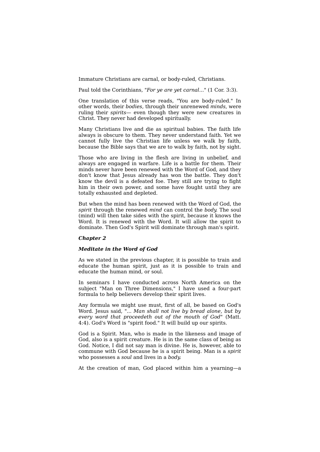Immature Christians are carnal, or body-ruled, Christians.

Paul told the Corinthians, *"For ye are yet carnal*..." (1 Cor. 3:3).

One translation of this verse reads, "You are body-ruled." In other words, their *bodies,* through their unrenewed *minds,* were ruling their *spirits—* even though they were new creatures in Christ. They never had developed spiritually.

Many Christians live and die as spiritual babies. The faith life always is obscure to them. They never understand faith. Yet we cannot fully live the Christian life unless we walk by faith, because the Bible says that we are to walk by faith, not by sight.

Those who are living in the flesh are living in unbelief, and always are engaged in warfare. Life is a battle for them. Their minds never have been renewed with the Word of God, and they don't know that Jesus already has won the battle. They don't know the devil is a defeated foe. They still are trying to fight him in their own power, and some have fought until they are totally exhausted and depleted.

But when the mind has been renewed with the Word of God, the *spirit* through the renewed *mind* can control the *body.* The soul (mind) will then take sides with the spirit, because it knows the Word. It is renewed with the Word. It will allow the spirit to dominate. Then God's Spirit will dominate through man's spirit.

#### *Chapter 2*

# *Meditate in the Word of God*

As we stated in the previous chapter, it is possible to train and educate the human spirit, just as it is possible to train and educate the human mind, or soul.

In seminars I have conducted across North America on the subject "Man on Three Dimensions," I have used a four-part formula to help believers develop their spirit lives.

Any formula we might use must, first of all, be based on God's Word. Jesus said, "... *Man shall not live by bread alone, but by every word that proceedeth out of the mouth of God"* (Matt. 4:4). God's Word is "spirit food." It will build up our spirits.

God is a Spirit. Man, who is made in the likeness and image of God, also is a spirit creature. He is in the same class of being as God. Notice, I did not say man is divine. He is, however, able to commune with God because he is a spirit being. Man is a *spirit* who possesses a *soul* and lives in a *body.*

At the creation of man, God placed within him a yearning—a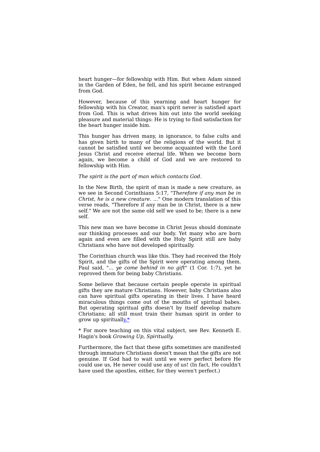heart hunger—for fellowship with Him. But when Adam sinned in the Garden of Eden, he fell, and his spirit became estranged from God.

However, because of this yearning and heart hunger for fellowship with his Creator, man's spirit never is satisfied apart from God. This is what drives him out into the world seeking pleasure and material things: He is trying to find satisfaction for the heart hunger inside him.

This hunger has driven many, in ignorance, to false cults and has given birth to many of the religions of the world. But it cannot be satisfied until we become acquainted with the Lord Jesus Christ and receive eternal life. When we become born again, we become a child of God and we are restored to fellowship with Him.

# *The spirit is the part of man which contacts God.*

In the New Birth, the spirit of man is made a new creature, as we see in Second Corinthians 5:17, *"Therefore if any man be in Christ, he is a new creature.* ..." One modern translation of this verse reads, "Therefore if any man be in Christ, there is a new self." We are not the same old self we used to be; there is a new self.

This new man we have become in Christ Jesus should dominate our thinking processes and our body. Yet many who are born again and even are filled with the Holy Spirit still are baby Christians who have not developed spiritually.

The Corinthian church was like this. They had received the Holy Spirit, and the gifts of the Spirit were operating among them. Paul said, "... *ye come behind in no gift"* (1 Cor. 1:7), yet he reproved them for being baby Christians.

Some believe that because certain people operate in spiritual gifts they are mature Christians. However, baby Christians also can have spiritual gifts operating in their lives. I have heard miraculous things come out of the mouths of spiritual babes. But operating spiritual gifts doesn't by itself develop mature Christians; all still must train their human spirit in order to grow up spiritually.\*

\* For more teaching on this vital subject, see Rev. Kenneth E. Hagin's book *Growing Up, Spiritually.*

Furthermore, the fact that these gifts sometimes are manifested through immature Christians doesn't mean that the gifts are not genuine. If God had to wait until we were perfect before He could use us, He never could use any of us! (In fact, He couldn't have used the apostles, either, for they weren't perfect.)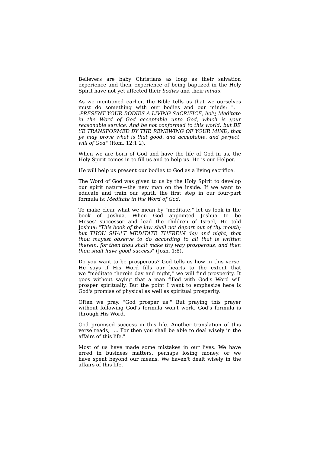Believers are baby Christians as long as their salvation experience and their experience of being baptized in the Holy Spirit have not yet affected their *bodies* and their *minds.*

As we mentioned earlier, the Bible tells us that we ourselves must do something with our bodies and our minds: ". . .*PRESENT YOUR BODIES A LIVING SACRIFICE, holy, Meditate in the Word of God acceptable unto God, which is your reasonable service. And be not conformed to this world: but BE YE TRANSFORMED BY THE RENEWING OF YOUR MIND, that ye may prove what is that good, and acceptable, and perfect, will of God"* (Rom. 12:1,2).

When we are born of God and have the life of God in us, the Holy Spirit comes in to fill us and to help us. He is our Helper.

He will help us present our bodies to God as a living sacrifice.

The Word of God was given to us by the Holy Spirit to develop our spirit nature—the new man on the inside. If we want to educate and train our spirit, the first step in our four-part formula is: *Meditate in the Word of God.*

To make clear what we mean by "meditate," let us look in the book of Joshua. When God appointed Joshua to be Moses' successor and lead the children of Israel, He told Joshua: *"This book of the law shall not depart out of thy mouth; but THOU SHALT MEDITATE THEREIN day and night, that thou mayest observe to do according to all that is written therein: for then thou shalt make thy way prosperous, and then thou shalt have good success"* (Josh. 1:8).

Do you want to be prosperous? God tells us how in this verse.  $He$  says if His Word fills our hearts to the extent that we "meditate therein day and night," we will find prosperity. It goes without saying that a man filled with God's Word will prosper spiritually. But the point I want to emphasize here is God's promise of physical as well as spiritual prosperity.

Often we pray, "God prosper us." But praying this prayer without following God's formula won't work. God's formula is through His Word.

God promised success in this life. Another translation of this verse reads, "... For then you shall be able to deal wisely in the affairs of this life."

Most of us have made some mistakes in our lives. We have erred in business matters, perhaps losing money, or we have spent beyond our means. We haven't dealt wisely in the affairs of this life.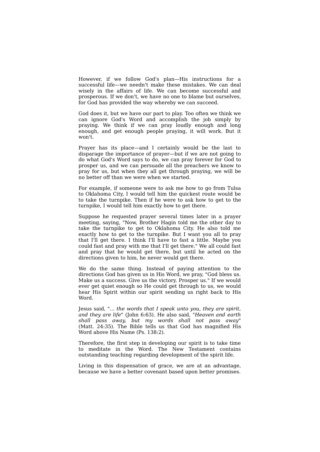However, if we follow God's plan—His instructions for a successful life—we needn't make these mistakes. We can deal wisely in the affairs of life. We can become successful and prosperous. If we don't, we have no one to blame but ourselves, for God has provided the way whereby we can succeed.

God does it, but we have our part to play. Too often we think we can ignore God's Word and accomplish the job simply by praying. We think if we can pray loudly enough and long enough, and get enough people praying, it will work. But it won't.

Prayer has its place—and I certainly would be the last to disparage the importance of prayer—but if we are not going to do what God's Word says to do, we can pray forever for God to prosper us, and we can persuade all the preachers we know to pray for us, but when they all get through praying, we will be no better off than we were when we started.

For example, if someone were to ask me how to go from Tulsa to Oklahoma City, I would tell him the quickest route would be to take the turnpike. Then if he were to ask how to get to the turnpike, I would tell him exactly how to get there.

Suppose he requested prayer several times later in a prayer meeting, saying, "Now, Brother Hagin told me the other day to take the turnpike to get to Oklahoma City. He also told me exactly how to get to the turnpike. But I want you all to pray that I'll get there. I think I'll have to fast a little. Maybe you could fast and pray with me that I'll get there." We all could fast and pray that he would get there, but until he acted on the directions given to him, he never would get there.

We do the same thing. Instead of paying attention to the directions God has given us in His Word, we pray, "God bless us. Make us a success. Give us the victory. Prosper us." If we would ever get quiet enough so He could get through to us, we would hear His Spirit within our spirit sending us right back to His Word.

Jesus said, "... *the words that I speak unto you, they are spirit, and they are life"* (John 6:63). He also said, *"Heaven and earth shall pass away, but my words shall not pass away"* (Matt. 24:35). The Bible tells us that God has magnified His Word above His Name (Ps. 138:2).

Therefore, the first step in developing our spirit is to take time to meditate in the Word. The New Testament contains outstanding teaching regarding development of the spirit life.

Living in this dispensation of grace, we are at an advantage, because we have a better covenant based upon better promises.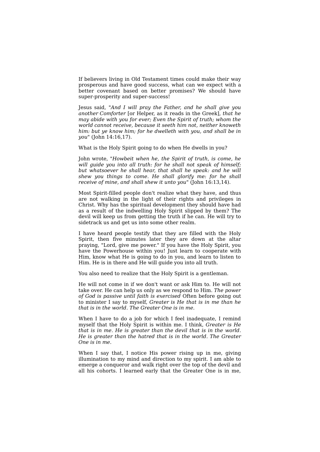If believers living in Old Testament times could make their way prosperous and have good success, what can we expect with a better covenant based on better promises? We should have super-prosperity and super-success!

Jesus said, *"And I will pray the Father, and he shall give you another Comforter* [or Helper, as it reads in the Greek], *that he may abide with you for ever; Even the Spirit of truth; whom the world cannot receive, because it seeth him not, neither knoweth him: but ye know him; for he dwelleth with you, and shall be in you"* (John 14:16,17).

What is the Holy Spirit going to do when He dwells in you?

John wrote, *"Howbeit when he, the Spirit of truth, is come, he will guide you into all truth: for he shall not speak of himself; but whatsoever he shall hear, that shall he speak: and he will shew you things to come. He shall glorify me: for he shall receive of mine, and shall shew it unto you"* (John 16:13,14).

Most Spirit-filled people don't realize what they have, and thus are not walking in the light of their rights and privileges in Christ. Why has the spiritual development they should have had as a result of the indwelling Holy Spirit slipped by them? The devil will keep us from getting the truth if he can. He will try to sidetrack us and get us into some other realm.

I have heard people testify that they are filled with the Holy Spirit, then five minutes later they are down at the altar praying, "Lord, give me power." If you have the Holy Spirit, you have the Powerhouse within you! Just learn to cooperate with Him, know what He is going to do in you, and learn to listen to Him. He is in there and He will guide you into all truth.

You also need to realize that the Holy Spirit is a gentleman.

He will not come in if we don't want or ask Him to. He will not take over. He can help us only as we respond to Him. *The power of God is passive until faith is exercised* Often before going out to minister I say to myself, *Greater is He that is in me than he that is in the world. The Greater One is in me.*

When I have to do a job for which I feel inadequate, I remind myself that the Holy Spirit is within me. I think, *Greater is He that is in me. He is greater than the devil that is in the world. He is greater than the hatred that is in the world. The Greater One is in me.*

When I say that, I notice His power rising up in me, giving illumination to my mind and direction to my spirit. I am able to emerge a conqueror and walk right over the top of the devil and all his cohorts. I learned early that the Greater One is in me,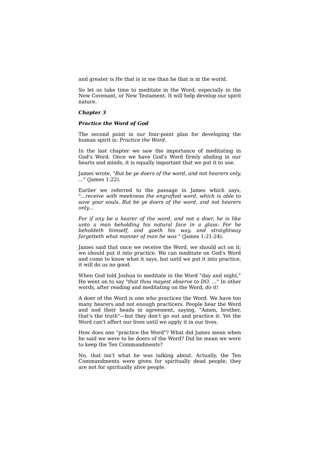and greater is He that is in me than he that is in the world.

So let us take time to meditate in the Word; especially in the New Covenant, or New Testament. It will help develop our spirit nature.

#### *Chapter 3*

### *Practice the Word of God*

The second point in our four-point plan for developing the human spirit is: *Practice the Word.*

In the last chapter we saw the importance of meditating in God's Word. Once we have God's Word firmly abiding in our hearts and minds, it is equally important that we put it to use.

James wrote, *"But be ye doers of the word, and not hearers only.* ..." (James 1:22).

Earlier we referred to the passage in James which says, "...*receive with meekness the engrafted word, which is able to save your souls. But be ye doers of the word, and not hearers only...*

*For if any be a hearer of the word, and not a doer, he is like unto a man beholding his natural face in a glass: For he beholdeth himself, and goeth his way, and straightway forgetteth what manner of man he was* " (James 1:21-24).

James said that once we receive the Word, we should act on it; we should put it into practice. We can meditate on God's Word and come to know what it says, but until we put it into practice, it will do us no good.

When God told Joshua to meditate in the Word "day and night." He went on to say *"that thou mayest observe to DO.* ..." In other words, after reading and meditating on the Word, *do* it!

A doer of the Word is one who practices the Word. We have too many hearers and not enough practicers. People hear the Word and nod their heads in agreement, saying, "Amen, brother, that's the truth"—but they don't go out and practice it. Yet the Word can't affect our lives until we apply it in our lives.

How does one "practice the Word"? What did James mean when he said we were to be doers of the Word? Did he mean we were to keep the Ten Commandments?

No, that isn't what he was talking about. Actually, the Ten Commandments were given for spiritually dead people; they are not for spiritually alive people.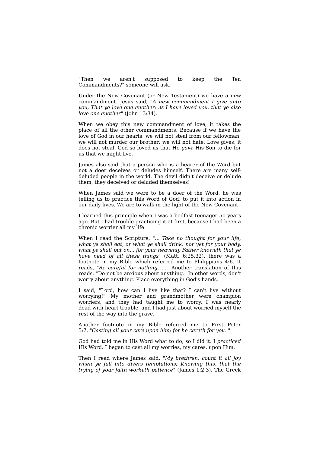"Then we aren't supposed to keep the Ten Commandments?" someone will ask.

Under the New Covenant (or New Testament) we have a *new* commandment. Jesus said, *"A new commandment I give unto you, That ye love one another; as I have loved you, that ye also love one another"* (John 13:34).

When we obey this new commandment of love, it takes the place of all the other commandments. Because if we have the love of God in our hearts, we will not steal from our fellowman; we will not murder our brother; we will not hate. Love gives, it does not steal. God so loved us that He *gave* His Son to die for us that we might live.

James also said that a person who is a hearer of the Word but not a doer deceives or deludes himself. There are many selfdeluded people in the world. The devil didn't deceive or delude them; they deceived or deluded themselves!

When James said we were to be a doer of the Word, he was telling us to practice this Word of God; to put it into action in our daily lives. We are to walk in the light of the New Covenant.

I learned this principle when I was a bedfast teenager 50 years ago. But I had trouble practicing it at first, because I had been a chronic worrier all my life.

When I read the Scripture, "... *Take no thought for your life, what ye shall eat, or what ye shall drink; nor yet for your body, what ye shall put on... for your heavenly Father knoweth that ye have need of all these things"* (Matt. 6:25,32), there was a footnote in my Bible which referred me to Philippians 4:6. It reads, *"Be careful for nothing.* ..." Another translation of this reads, "Do not be anxious about anything." In other words, don't worry about anything. Place everything in God's hands.

I said, "Lord, how can I live like that? I can't live without worrying!" My mother and grandmother were champion worriers, and they had taught me to worry. I was nearly dead with heart trouble, and I had just about worried myself the rest of the way into the grave.

Another footnote in my Bible referred me to First Peter 5:7, *"Casting all your care upon him; for he careth for you.* "

God had told me in His Word what to do, so I did it. I *practiced* His Word. I began to cast all my worries, my cares, upon Him.

Then I read where James said, *"My brethren, count it all joy when ye fall into divers temptations; Knowing this, that the trying of your faith worketh patience"* (James 1:2,3). The Greek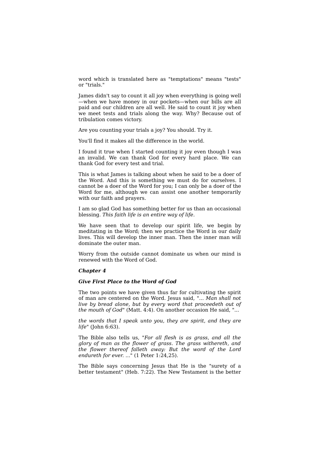word which is translated here as "temptations" means "tests" or "trials."

James didn't say to count it all joy when everything is going well —when we have money in our pockets—when our bills are all paid and our children are all well. He said to count it joy when we meet tests and trials along the way. Why? Because out of tribulation comes victory.

Are you counting your trials a joy? You should. Try it.

You'll find it makes all the difference in the world.

I found it true when I started counting it joy even though I was an invalid. We can thank God for every hard place. We can thank God for every test and trial.

This is what James is talking about when he said to be a doer of the Word. And this is something we must do for ourselves. I cannot be a doer of the Word for you; I can only be a doer of the Word for me, although we can assist one another temporarily with our faith and prayers.

I am so glad God has something better for us than an occasional blessing. *This faith life is an entire way of life.*

We have seen that to develop our spirit life, we begin by meditating in the Word; then we practice the Word in our daily lives. This will develop the inner man. Then the inner man will dominate the outer man.

Worry from the outside cannot dominate us when our mind is renewed with the Word of God.

### *Chapter 4*

#### *Give First Place to the Word of God*

The two points we have given thus far for cultivating the spirit of man are centered on the Word. Jesus said, "... *Man shall not live by bread alone, but by every word that proceedeth out of the mouth of God"* (Matt. 4:4). On another occasion He said, "...

*the words that I speak unto you, they are spirit, and they are life"* (John 6:63).

The Bible also tells us, *"For all flesh is as grass, and all the glory of man as the flower of grass. The grass withereth, and the flower thereof falleth away: But the word of the Lord endureth for ever.* ..." (1 Peter 1:24,25).

The Bible says concerning Jesus that He is the "surety of a better testament" (Heb. 7:22). The New Testament is the better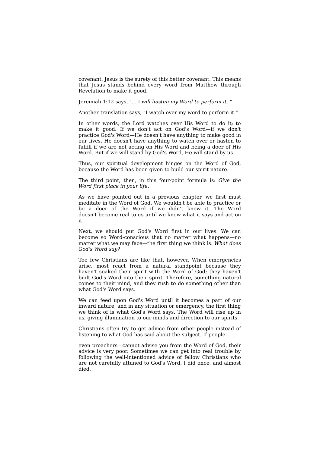covenant. Jesus is the surety of this better covenant. This means that Jesus stands behind every word from Matthew through Revelation to make it good.

Jeremiah 1:12 says, "... I *will hasten my Word to perform it.* "

Another translation says, "I watch over my word to perform it."

In other words, the Lord watches over His Word to do it; to make it good. If we don't act on God's Word—if we don't practice God's Word—He doesn't have anything to make good in our lives. He doesn't have anything to watch over or hasten to fulfill if we are not acting on His Word and being a doer of His Word. But if we will stand by God's Word, He will stand by us.

Thus, our spiritual development hinges on the Word of God, because the Word has been given to build our spirit nature.

The third point, then, in this four-point formula is: *Give the Word first place in your life.*

As we have pointed out in a previous chapter, we first must meditate in the Word of God. We wouldn't be able to practice or be a doer of the Word if we didn't know it. The Word doesn't become real to us until we know what it says and act on it.

Next, we should put God's Word first in our lives. We can become so Word-conscious that no matter what happens—no matter what we may face—the first thing we think is: *What does God's Word say?*

Too few Christians are like that, however. When emergencies arise, most react from a natural standpoint because they haven't soaked their spirit with the Word of God; they haven't built God's Word into their spirit. Therefore, something natural comes to their mind, and they rush to do something other than what God's Word says.

We can feed upon God's Word until it becomes a part of our inward nature, and in any situation or emergency, the first thing we think of is what God's Word says. The Word will rise up in us, giving illumination to our minds and direction to our spirits.

Christians often try to get advice from other people instead of listening to what God has said about the subject. If people—

even preachers—cannot advise you from the Word of God, their advice is very poor. Sometimes we can get into real trouble by following the well-intentioned advice of fellow Christians who are not carefully attuned to God's Word. I did once, and almost died.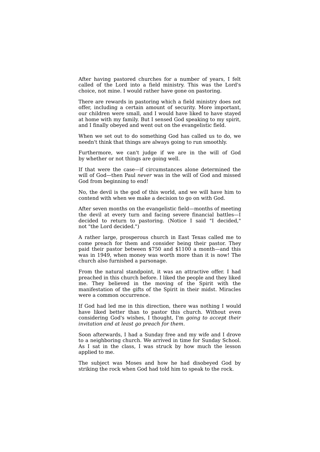After having pastored churches for a number of years, I felt called of the Lord into a field ministry. This was the Lord's choice, not mine. I would rather have gone on pastoring.

There are rewards in pastoring which a field ministry does not offer, including a certain amount of security. More important, our children were small, and I would have liked to have stayed at home with my family. But I sensed God speaking to my spirit, and I finally obeyed and went out on the evangelistic field.

When we set out to do something God has called us to do, we needn't think that things are always going to run smoothly.

Furthermore, we can't judge if we are in the will of God by whether or not things are going well.

If that were the case—if circumstances alone determined the will of God—then Paul *never* was in the will of God and missed God from beginning to end!

No, the devil is the god of this world, and we will have him to contend with when we make a decision to go on with God.

After seven months on the evangelistic field—months of meeting the devil at every turn and facing severe financial battles—I decided to return to pastoring. (Notice I said "I decided," not "the Lord decided.")

A rather large, prosperous church in East Texas called me to come preach for them and consider being their pastor. They paid their pastor between \$750 and \$1100 a month—and this was in 1949, when money was worth more than it is now! The church also furnished a parsonage.

From the natural standpoint, it was an attractive offer. I had preached in this church before. I liked the people and they liked me. They believed in the moving of the Spirit with the manifestation of the gifts of the Spirit in their midst. Miracles were a common occurrence.

If God had led me in this direction, there was nothing I would have liked better than to pastor this church. Without even considering God's wishes, I thought, I'm *going to accept their invitation and at least go preach for them.*

Soon afterwards, I had a Sunday free and my wife and I drove to a neighboring church. We arrived in time for Sunday School. As I sat in the class, I was struck by how much the lesson applied to me.

The subject was Moses and how he had disobeyed God by striking the rock when God had told him to speak to the rock.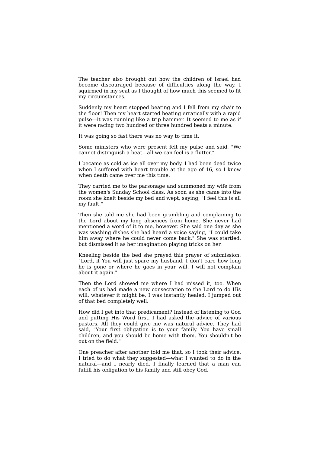The teacher also brought out how the children of Israel had become discouraged because of difficulties along the way. I squirmed in my seat as I thought of how much this seemed to fit my circumstances.

Suddenly my heart stopped beating and I fell from my chair to the floor! Then my heart started beating erratically with a rapid pulse—it was running like a trip hammer. It seemed to me as if it were racing two hundred or three hundred beats a minute.

It was going so fast there was no way to time it.

Some ministers who were present felt my pulse and said, "We cannot distinguish a beat—all we can feel is a flutter."

I became as cold as ice all over my body. I had been dead twice when I suffered with heart trouble at the age of 16, so I knew when death came over me this time.

They carried me to the parsonage and summoned my wife from the women's Sunday School class. As soon as she came into the room she knelt beside my bed and wept, saying, "I feel this is all my fault."

Then she told me she had been grumbling and complaining to the Lord about my long absences from home. She never had mentioned a word of it to me, however. She said one day as she was washing dishes she had heard a voice saying, "I could take him away where he could never come back." She was startled, but dismissed it as her imagination playing tricks on her.

Kneeling beside the bed she prayed this prayer of submission: "Lord, if You will just spare my husband, I don't care how long he is gone or where he goes in your will. I will not complain about it again."

Then the Lord showed me where I had missed it, too. When each of us had made a new consecration to the Lord to do His will, whatever it might be, I was instantly healed. I jumped out of that bed completely well.

How did I get into that predicament? Instead of listening to God and putting His Word first, I had asked the advice of various pastors. All they could give me was natural advice. They had said, "Your first obligation is to your family. You have small children, and you should be home with them. You shouldn't be out on the field."

One preacher after another told me that, so I took their advice. I tried to do what they suggested—what I wanted to do in the natural—and I nearly died. I finally learned that a man can fulfill his obligation to his family and still obey God.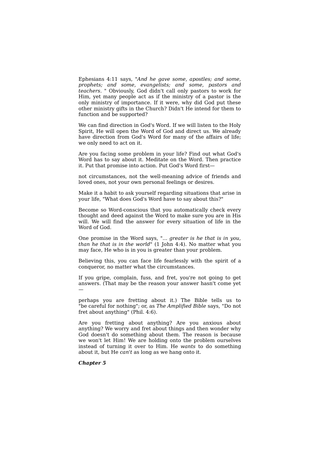Ephesians 4:11 says, *"And he gave some, apostles; and some, prophets; and some, evangelists; and some, pastors and teachers.* " Obviously, God didn't call only pastors to work for Him, yet many people act as if the ministry of a pastor is the only ministry of importance. If it were, why did God put these other ministry gifts in the Church? Didn't He intend for them to function and be supported?

We can find direction in God's Word. If we will listen to the Holy Spirit, He will open the Word of God and direct us. We already have direction from God's Word for many of the affairs of life; we only need to act on it.

Are you facing some problem in your life? Find out what God's Word has to say about it. Meditate on the Word. Then practice it. Put that promise into action. Put God's Word first—

not circumstances, not the well-meaning advice of friends and loved ones, not your own personal feelings or desires.

Make it a habit to ask yourself regarding situations that arise in your life, "What does God's Word have to say about this?"

Become so Word-conscious that you automatically check every thought and deed against the Word to make sure you are in His will. We will find the answer for every situation of life in the Word of God.

One promise in the Word says, "... *greater is he that is in you, than he that is in the world"* (1 John 4:4). No matter what you may face, He who is in you is greater than your problem.

Believing this, you can face life fearlessly with the spirit of a conqueror, no matter what the circumstances.

If you gripe, complain, fuss, and fret, you're not going to get answers. (That may be the reason your answer hasn't come yet —

perhaps you are fretting about it.) The Bible tells us to "be careful for nothing"; or, as *The Amplified Bible* says, "Do not fret about anything" (Phil. 4:6).

Are you fretting about anything? Are you anxious about anything? We worry and fret about things and then wonder why God doesn't do something about them. The reason is because we won't let Him! We are holding onto the problem ourselves instead of turning it over to Him. He *wants* to do something about it, but He *can't* as long as we hang onto it.

# *Chapter 5*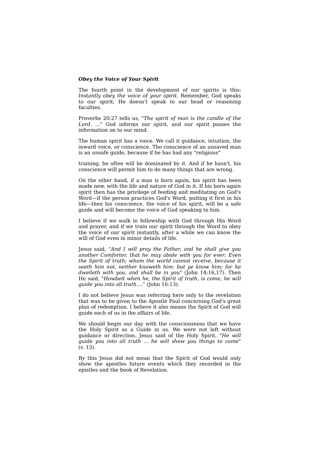## *Obey the Voice of Your Spirit*

The fourth point in the development of our spirits is this: *Instantly obey the voice of your spirit.* Remember, God speaks to our spirit; He doesn't speak to our head or reasoning faculties.

Proverbs 20:27 tells us, *"The spirit of man is the candle of the Lord.* ..." God informs our spirit, and our spirit passes the information on to our mind.

The human spirit has a voice. We call it guidance, intuition, the inward voice, or conscience. The conscience of an unsaved man is an unsafe guide, because if he has had any "religious"

training, he often will be dominated by it. And if he hasn't, his conscience will permit him to do many things that are wrong.

On the other hand, if a man is born again, his spirit has been made new, with the life and nature of God in it. If his born-again spirit then has the privilege of feeding and meditating on God's Word—if the person practices God's Word, putting it first in his life—then his conscience, the voice of his spirit, will be a safe guide and will become the voice of God speaking to him.

I believe if we walk in fellowship with God through His Word and prayer, and if we train our spirit through the Word to obey the voice of our spirit instantly, after a while we can know the will of God even in minor details of life.

Jesus said, *"And I will pray the Father, and he shall give you another Comforter, that he may abide with you for ever; Even the Spirit of truth; whom the world cannot receive, because it seeth him not, neither knoweth him: but ye know him; for he dwelleth with you, and shall be in you"* (John 14:16,17). Then He said, *"Howbeit when he, the Spirit of truth, is come, he will guide you into all truth*...." (John 16:13).

I do not believe Jesus was referring here only to the revelation that was to be given to the Apostle Paul concerning God's great plan of redemption. I believe it also means the Spirit of God will guide each of us in the affairs of life.

We should begin our day with the consciousness that we have the Holy Spirit as a Guide in us. We were not left without guidance or direction. Jesus said of the Holy Spirit, *"He will guide you into all truth ... he will shew you things to come"* (v. 13).

By this Jesus did not mean that the Spirit of God would only show the apostles future events which they recorded in the epistles and the book of Revelation.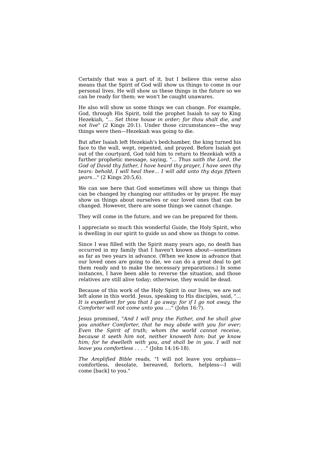Certainly that was a part of it, but I believe this verse also means that the Spirit of God will show us things to come in our personal lives. He will show us these things in the future so we can be ready for them; we won't be caught unawares.

He also will show us some things we can change. For example, God, through His Spirit, told the prophet Isaiah to say to King Hezekiah, "... *Set thine house in order; for thou shalt die, and not live" (2* Kings 20:1). Under those circumstances—the way things were then—Hezekiah was going to die.

But after Isaiah left Hezekiah's bedchamber, the king turned his face to the wall, wept, repented, and prayed. Before Isaiah got out of the courtyard, God told him to return to Hezekiah with a further prophetic message, saying, "... *Thus saith the Lord, the God of David thy father, I have heard thy prayer, I have seen thy tears: behold, I will heal thee... I will add unto thy days fifteen years.*.." (2 Kings 20:5,6).

We can see here that God sometimes will show us things that can be changed by changing our attitudes or by prayer. He may show us things about ourselves or our loved ones that can be changed. However, there are some things we cannot change.

They will come in the future, and we can be prepared for them.

I appreciate so much this wonderful Guide, the Holy Spirit, who is dwelling in our spirit to guide us and show us things to come.

Since I was filled with the Spirit many years ago, no death has occurred in my family that I haven't known about—sometimes as far as two years in advance. (When we know in advance that our loved ones are going to die, we can do a great deal to get them ready and to make the necessary preparations.) In some instances, I have been able to reverse the situation, and those relatives are still alive today; otherwise, they would be dead.

Because of this work of the Holy Spirit in our lives, we are not left alone in this world. Jesus, speaking to His disciples, said, "... *It is expedient for you that I go away: for if I go not away, the Comforter will not come unto you* ...." (John 16:7).

Jesus promised, *"And I will pray the Father, and he shall give you another Comforter, that he may abide with you for ever; Even the Spirit of truth; whom the world cannot receive, because it seeth him not, neither knoweth him: but ye know him; for he dwelleth with you, and shall be in you. I will not leave you comfortless* . . . ." (John 14:16-18).

*The Amplified Bible* reads, "I will not leave you orphans comfortless, desolate, bereaved, forlorn, helpless—I will come [back] to you."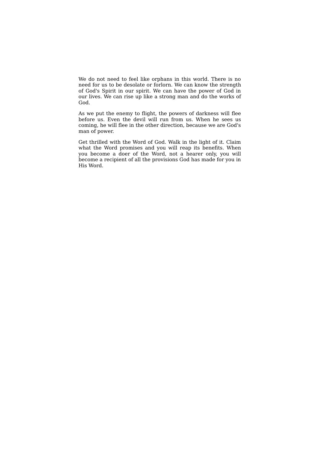We do not need to feel like orphans in this world. There is no need for us to be desolate or forlorn. We can know the strength of God's Spirit in our spirit. We can have the power of God in our lives. We can rise up like a strong man and do the works of God.

As we put the enemy to flight, the powers of darkness will flee before us. Even the devil will run from us. When he sees us coming, he will flee in the other direction, because we are God's man of power.

Get thrilled with the Word of God. Walk in the light of it. Claim what the Word promises and you will reap its benefits. When you become a doer of the Word, not a hearer only, you will become a recipient of all the provisions God has made for you in His Word.